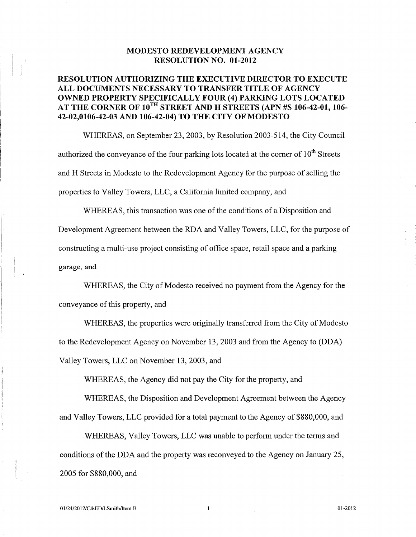### **MODESTO REDEVELOPMENT AGENCY RESOLUTION NO. 01-2012**

## **RESOLUTION AUTHORIZING THE EXECUTIVE DIRECTOR TO EXECUTE ALL DOCUMENTS NECESSARY TO TRANSFER TITLE OF AGENCY OWNED PROPERTY SPECIFICALLY FOUR (4) PARKING LOTS LOCATED AT THE CORNER OF 10TH STREET AND H STREETS (APN #S 106-42-01, 106- 42-02,0106-42-03 AND 106-42-04) TO THE CITY OF MODESTO**

WHEREAS, on September 23, 2003, by Resolution 2003-514, the City Council authorized the conveyance of the four parking lots located at the corner of  $10^\mathrm{th}$  Streets and H Streets in Modesto to the Redevelopment Agency for the purpose of selling the properties to Valley Towers, LLC, <sup>a</sup> California limited company, and

WHEREAS, this transaction was one of the conditions of <sup>a</sup> Disposition and Development Agreement between the RDA and Valley Towers, LLC, for the purpose of constructing <sup>a</sup> multi-use project consisting of office space, retail space and <sup>a</sup> parking garage, and

WHEREAS, the City of Modesto received no paymen<sup>t</sup> from the Agency for the conveyance of this property, and

WHEREAS, the properties were originally transferred from the City of Modesto to the Redevelopment Agency on November 13, 2003 and from the Agency to (DDA) Valley Towers, LLC on November 13, 2003, and

WHEREAS, the Agency did not pay the City for the property, and

WHEREAS, the Disposition and Development Agreement between the Agency and Valley Towers, LLC provided for <sup>a</sup> total paymen<sup>t</sup> to the Agency of \$880,000, and

WHEREAS, Valley Towers, LLC was unable to perform under the terms and conditions of the DDA and the property was reconveyed to the Agency on January 25, 2005 for \$880,000, and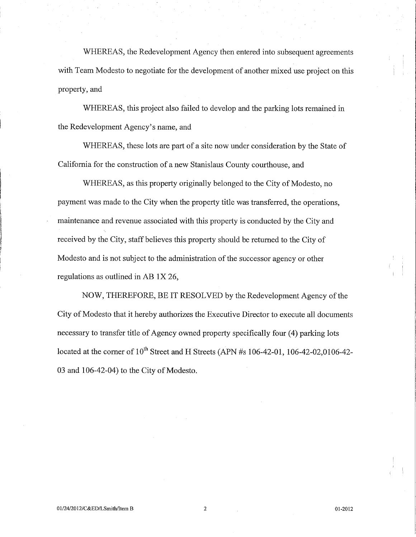WHEREAS, the Redevelopment Agency then entered into subsequent agreements with Team Modesto to negotiate for the development of another mixed use project on this property, and

WHEREAS, this project also failed to develop and the parking lots remained in the Redevelopment Agency's name, and

WHEREAS, these lots are par<sup>t</sup> of <sup>a</sup> site now under consideration by the State of California for the construction of <sup>a</sup> new Stanislaus County courthouse, and

WHEREAS, as this property originally belonged to the City of Modesto, no paymen<sup>t</sup> was made to the City when the property title was transferred, the operations, maintenance and revenue associated with this property is conducted by the City and *f* received by the City, staff believes this property should be returned to the City of Modesto and is not subject to the administration of the successor agency or other regulations as outlined in AB IX 26,

NOW, THEREFORE, BE IT RESOLVED by the Redevelopment Agency of the City of Modesto that it hereby authorizes the Executive Director to execute all documents necessary to transfer title of Agency owned property specifically four (4) parking lots located at the corner of  $10^{\text{th}}$  Street and H Streets (APN #s 106-42-01, 106-42-02,0106-42-03 and 106-42-04) to the City of Modesto.

!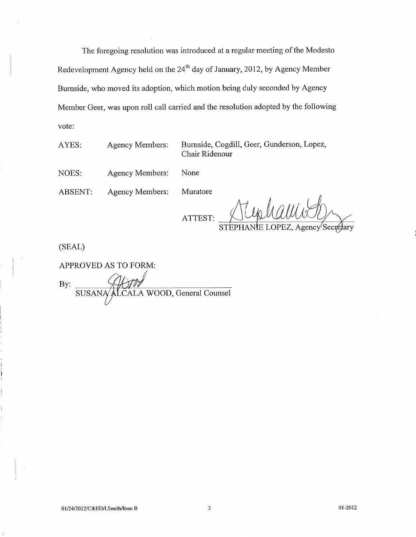The foregoing resolution was introduced at <sup>a</sup> regular meeting of the Modesto Redevelopment Agency held on the 24<sup>th</sup> day of January, 2012, by Agency Member Burnside, who moved its adoption, which motion being duly seconded by Agency Member Geer, was upon roll call carried and the resolution adopted by the following vote:

AYES: Agency Members:

Burnside, Cogdill, Geer, Gunderson, Lopez, Chair Ridenour

NOES: Agency Members: None

ABSENT: Agency Members: Muratore

ATTEST:

 $STEPHANIE LOPEZ, Agency<sup>l</sup>$ 

(SEAL)

 APPROVED AS TO FORM: By: SUSANA/ALCALA WOOD, General Counsel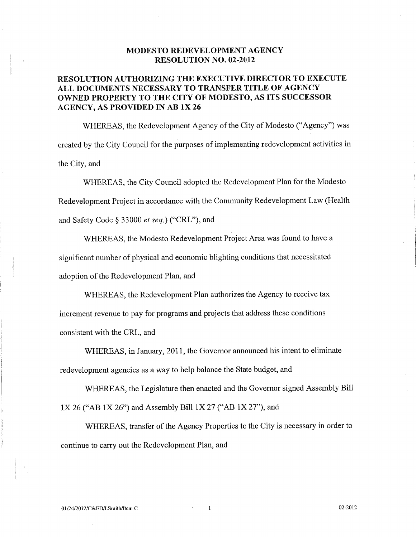#### **MODESTO REDEVELOPMENT AGENCY RESOLUTION NO. 02-2012**

# **RESOLUTION AUTHORIZING THE EXECUTIVE DIRECTOR TO EXECUTE ALL DOCUMENTS NECESSARY TO TRANSFER TITLE OF AGENCY OWNED PROPERTY TO THE CITY OF MODESTO, AS ITS SUCCESSOR AGENCY, AS PROVIDED IN AB IX 26**

WHEREAS, the Redevelopment Agency of the City of Modesto ("Agency") was created by the City Council for the purposes of implementing redevelopment activities in the City, and

WHEREAS, the City Council adopted the Redevelopment Plan for the Modesto Redevelopment Project in accordance with the Community Redevelopment Law (Health and Safety Code § 33000 *et seq.)* ("CRL"), and

WHEREAS, the Modesto Redevelopment Project Area was found to have <sup>a</sup> significant number of <sup>p</sup>hysical and economic blighting conditions that necessitated adoption of the Redevelopment Plan, and

WHEREAS, the Redevelopment Plan authorizes the Agency to receive tax increment revenue to pay for programs and projects that address these conditions consistent with the CRL, and

WHEREAS, in January, 2011, the Governor announced his intent to eliminate redevelopment agencies as <sup>a</sup> way to help balance the State budget, and

WHEREAS, the Legislature then enacted and the Governor signed Assembly Bill IX 26 ("AB IX 26") and Assembly Bill IX 27 ("AB IX 27"), and

WHEREAS, transfer of the Agency Properties to the City is necessary in order to continue to carry out the Redevelopment Plan, and

**l**

j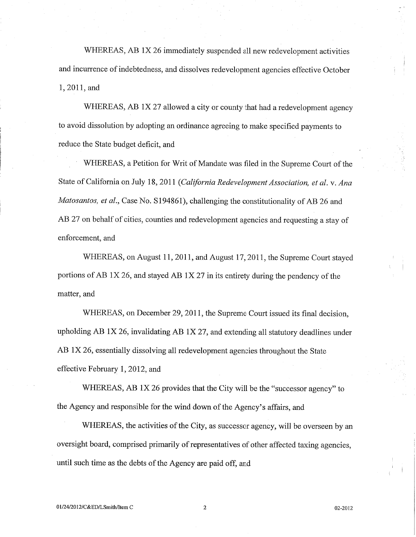WHEREAS, AB IX <sup>26</sup> immediately suspended all new redevelopment activities and incurrence of indebtedness, and dissolves redevelopment agencies effective October 1, 2011, and

WHEREAS, AB IX <sup>27</sup> allowed <sup>a</sup> city or county that had <sup>a</sup> redevelopment agency to avoid dissolution by adopting an ordinance agreeing to make specified payments to reduce the State budget deficit, and

WHEREAS, <sup>a</sup> Petition for Writ of Mandate was filed in the Supreme Court of the State of California on July <sup>18</sup>, 2011 *(California Redevelopment Association, et al.* <sup>v</sup>. *Ana Matosantos, et al.,* Case No. <sup>S</sup>194861), challenging the constitutionality of AB <sup>26</sup> and AB <sup>27</sup> on behalf of cities, counties and redevelopment agencies and requesting <sup>a</sup> stay of enforcement, and

WHEREAS, on August <sup>11</sup>, <sup>2011</sup>, and August <sup>17</sup>, <sup>2011</sup>, the Supreme Court stayed portions of AB IX <sup>26</sup>, and stayed AB IX <sup>27</sup> in its entirety during the pendency of the matter, and

WHEREAS, on December 29, 2011, the Supreme Court issued its final decision, upholding AB IX <sup>26</sup>, invalidating AB IX <sup>27</sup>, and extending all statutory deadlines under AB IX <sup>26</sup>, essentially dissolving all redevelopment agencies throughout the State effective February 1, 2012, and

WHEREAS, AB 1X 26 provides that the City will be the "successor agency" to the Agency and responsible for the wind down of the Agency'<sup>s</sup> affairs, and

WHEREAS, the activities of the City, as successor agency, will be overseen by an oversight board, comprised primarily of representatives of other affected taxing agencies, until such time as the debts of the Agency are paid off, and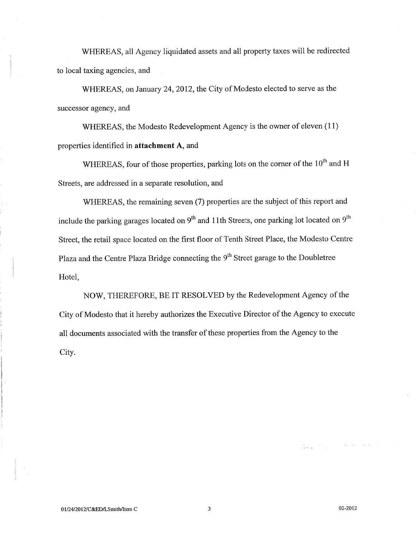WHEREAS, all Agency liquidated assets and all property taxes will be redirected to local taxing agencies, and

WHEREAS, on January 24, 2012, the City of Modesto elected to serve as the successor agency, and

WHEREAS, the Modesto Redevelopment Agency is the owner of eleven (11) properties identified in **attachment A,** and

WHEREAS, four of those properties, parking lots on the corner of the  $10^{\text{th}}$  and H Streets, are addressed in <sup>a</sup> separate resolution, and

WHEREAS, the remaining seven (7) properties are the subject of this repor<sup>t</sup> and include the parking garages located on  $9^{\text{th}}$  and 11th Streets, one parking lot located on  $9^{\text{th}}$ Street, the retail space located on the first floor of Tenth Street Place, the Modesto Centre Plaza and the Centre Plaza Bridge connecting the 9<sup>th</sup> Street garage to the Doubletree Hotel,

NOW, THEREFORE, BE IT RESOLVED by the Redevelopment Agency of the City of Modesto that it hereby authorizes the Executive Director of the Agency to execute all documents associated with the transfer of these properties from the Agency to the City.

 $\zeta_{\rm N} = 0.5$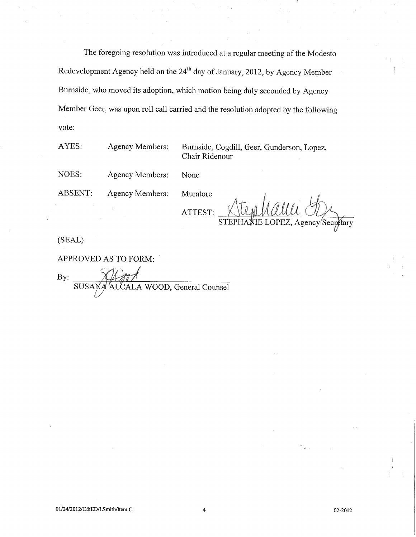The foregoing resolution was introduced at <sup>a</sup> regular meeting of the Modesto Redevelopment Agency held on the 24<sup>th</sup> day of January, 2012, by Agency Member Burnside, who moved its adoption, which motion being duly seconded by Agency Member Geer, was upon roll call carried and the resolution adopted by the following vote:

AYES: Agency Members: Burnside, Cogdill, Geer, Gunderson, Lopez, Chair Ridenour

NOES: Agency Members: None

ABSENT: Agency Members: Muratore

ATTEST:

STEPHANIE LOPEZ, Agency Secr¢tary

(SEAL)

APPROVED AS TO FORM:

By:

SUSANA ALCALA WOOD, General Counsel